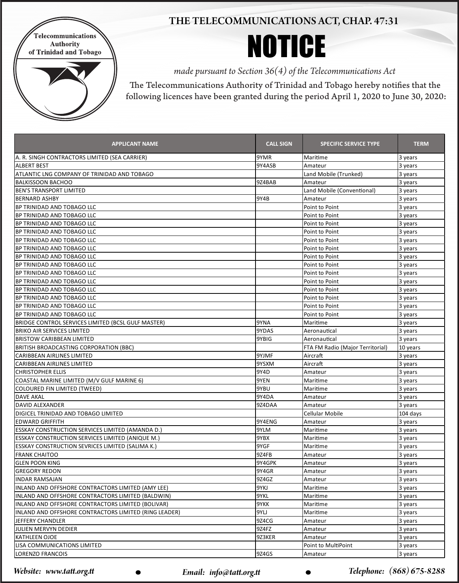

## THE TELECOMMUNICATIONS ACT, CHAP. 47:31

NOTICE

*made pursuant to Section 36(4) of the Telecommunications Act*

The Telecommunications Authority of Trinidad and Tobago hereby notifies that the following licences have been granted during the period April 1, 2020 to June 30, 2020:

| <b>APPLICANT NAME</b>                                   | <b>CALL SIGN</b> | <b>SPECIFIC SERVICE TYPE</b>     | <b>TERM</b> |
|---------------------------------------------------------|------------------|----------------------------------|-------------|
| A. R. SINGH CONTRACTORS LIMITED (SEA CARRIER)           | 9YMR             | Maritime                         | 3 years     |
| <b>ALBERT BEST</b>                                      | 9Y4ASB           | Amateur                          | 3 years     |
| ATLANTIC LNG COMPANY OF TRINIDAD AND TOBAGO             |                  | Land Mobile (Trunked)            | 3 years     |
| <b>BALKISSOON BACHOO</b>                                | 9Z4BAB           | Amateur                          | 3 years     |
| IBEN'S TRANSPORT LIMITED                                |                  | Land Mobile (Conventional)       | 3 years     |
| IBERNARD ASHBY                                          | 9Y4B             | Amateur                          | 3 years     |
| BP TRINIDAD AND TOBAGO LLC                              |                  | Point to Point                   | 3 years     |
| BP TRINIDAD AND TOBAGO LLC                              |                  | Point to Point                   | 3 years     |
| <b>BP TRINIDAD AND TOBAGO LLC</b>                       |                  | Point to Point                   | 3 years     |
| <b>BP TRINIDAD AND TOBAGO LLC</b>                       |                  | Point to Point                   | 3 years     |
| BP TRINIDAD AND TOBAGO LLC                              |                  | Point to Point                   | 3 years     |
| <b>BP TRINIDAD AND TOBAGO LLC</b>                       |                  | Point to Point                   | 3 years     |
| <b>IBP TRINIDAD AND TOBAGO LLC</b>                      |                  | Point to Point                   | 3 years     |
| BP TRINIDAD AND TOBAGO LLC                              |                  | Point to Point                   | 3 years     |
| BP TRINIDAD AND TOBAGO LLC                              |                  | Point to Point                   | 3 years     |
| <b>IBP TRINIDAD AND TOBAGO LLC</b>                      |                  | Point to Point                   | 3 years     |
| <b>IBP TRINIDAD AND TOBAGO LLC</b>                      |                  | Point to Point                   | 3 years     |
| <b>IBP TRINIDAD AND TOBAGO LLC</b>                      |                  | Point to Point                   | 3 years     |
| BP TRINIDAD AND TOBAGO LLC                              |                  | Point to Point                   | 3 years     |
| BP TRINIDAD AND TOBAGO LLC                              |                  | Point to Point                   | 3 years     |
| BRIDGE CONTROL SERVICES LIMITED (BCSL GULF MASTER)      | 9YNA             | Maritime                         | 3 years     |
| <b>BRIKO AIR SERVICES LIMITED</b>                       | 9YDAS            | Aeronautical                     | 3 years     |
| <b>BRISTOW CARIBBEAN LIMITED</b>                        | 9YBIG            | Aeronautical                     | 3 years     |
| BRITISH BROADCASTING CORPORATION (BBC)                  |                  | FTA FM Radio (Major Territorial) | 10 years    |
| CARIBBEAN AIRLINES LIMITED                              | 9YJMF            | Aircraft                         | 3 years     |
| <b>CARIBBEAN AIRLINES LIMITED</b>                       | 9YSXM            | Aircraft                         | 3 years     |
| <b>CHRISTOPHER ELLIS</b>                                | 9Y4D             | Amateur                          | 3 years     |
| COASTAL MARINE LIMITED (M/V GULF MARINE 6)              | 9YEN             | Maritime                         | 3 years     |
| COLOURED FIN LIMITED (TWEED)                            | 9YBU             | Maritime                         | 3 years     |
| <b>DAVE AKAL</b>                                        | 9Y4DA            | Amateur                          | 3 years     |
| DAVID ALEXANDER                                         | 9Z4DAA           | Amateur                          | 3 years     |
| DIGICEL TRINIDAD AND TOBAGO LIMITED                     |                  | Cellular Mobile                  | 104 days    |
| <b>EDWARD GRIFFITH</b>                                  | 9Y4ENG           | Amateur                          | 3 years     |
| <b>ESSKAY CONSTRUCTION SERVICES LIMITED (AMANDA D.)</b> | 9YLM             | Maritime                         | 3 years     |
| <b>ESSKAY CONSTRUCTION SERVICES LIMITED (ANIQUE M.)</b> | 9YBX             | Maritime                         | 3 years     |
| <b>ESSKAY CONSTRUCTION SEVRICES LIMITED (SALIMA K.)</b> | 9YGF             | Maritime                         | 3 years     |
| <b>FRANK CHAITOO</b>                                    | 9Z4FB            | Amateur                          | 3 years     |
| lglen poon king                                         | 9Y4GPK           | Amateur                          | 3 years     |
| <b>GREGORY REDON</b>                                    | 9Y4GR            | Amateur                          | 3 years     |
| IINDAR RAMSAJAN                                         | 9Z4GZ            | Amateur                          | 3 years     |
| INLAND AND OFFSHORE CONTRACTORS LIMITED (AMY LEE)       | 9YKJ             | Maritime                         | 3 years     |
| INLAND AND OFFSHORE CONTRACTORS LIMITED (BALDWIN)       | 9YKL             | Maritime                         | 3 years     |
| INLAND AND OFFSHORE CONTRACTORS LIMITED (BOLIVAR)       | 9YKK             | Maritime                         | 3 years     |
| INLAND AND OFFSHORE CONTRACTORS LIMITED (RING LEADER)   | 9YLJ             | Maritime                         | 3 years     |
| <b>JEFFERY CHANDLER</b>                                 | 9Z4CG            | Amateur                          | 3 years     |
| JULIEN MERVYN DEDIER                                    | 9Z4FZ            | Amateur                          | 3 years     |
| <b>KATHLEEN OJOE</b>                                    | 9Z3KER           | Amateur                          | 3 years     |
| LISA COMMUNICATIONS LIMITED                             |                  | Point to MultiPoint              | 3 years     |
| LORENZO FRANCOIS                                        | 9Z4GS            | Amateur                          | 3 years     |

*Website: www.tatt.org.tt* • • • • • Email: info@tatt.org.tt • • • • • • • Telephone: (868) 675-8288